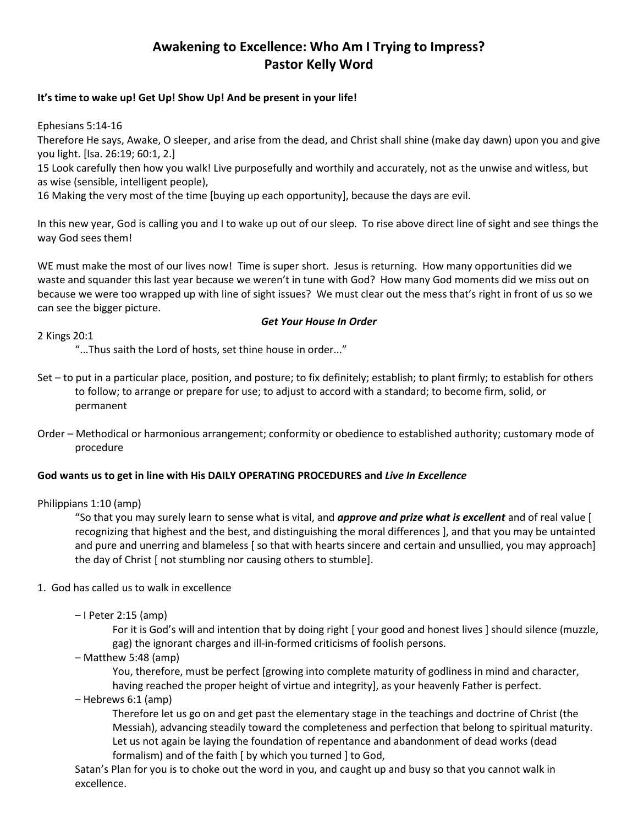# **Awakening to Excellence: Who Am I Trying to Impress? Pastor Kelly Word**

# **It's time to wake up! Get Up! Show Up! And be present in your life!**

Ephesians 5:14-16

Therefore He says, Awake, O sleeper, and arise from the dead, and Christ shall shine (make day dawn) upon you and give you light. [Isa. 26:19; 60:1, 2.]

15 Look carefully then how you walk! Live purposefully and worthily and accurately, not as the unwise and witless, but as wise (sensible, intelligent people),

16 Making the very most of the time [buying up each opportunity], because the days are evil.

In this new year, God is calling you and I to wake up out of our sleep. To rise above direct line of sight and see things the way God sees them!

WE must make the most of our lives now! Time is super short. Jesus is returning. How many opportunities did we waste and squander this last year because we weren't in tune with God? How many God moments did we miss out on because we were too wrapped up with line of sight issues? We must clear out the mess that's right in front of us so we can see the bigger picture.

# *Get Your House In Order*

2 Kings 20:1

"...Thus saith the Lord of hosts, set thine house in order..."

- Set to put in a particular place, position, and posture; to fix definitely; establish; to plant firmly; to establish for others to follow; to arrange or prepare for use; to adjust to accord with a standard; to become firm, solid, or permanent
- Order Methodical or harmonious arrangement; conformity or obedience to established authority; customary mode of procedure

# **God wants us to get in line with His DAILY OPERATING PROCEDURES and** *Live In Excellence*

Philippians 1:10 (amp)

"So that you may surely learn to sense what is vital, and *approve and prize what is excellent* and of real value [ recognizing that highest and the best, and distinguishing the moral differences ], and that you may be untainted and pure and unerring and blameless [ so that with hearts sincere and certain and unsullied, you may approach] the day of Christ [ not stumbling nor causing others to stumble].

#### 1. God has called us to walk in excellence

– I Peter 2:15 (amp)

For it is God's will and intention that by doing right [ your good and honest lives ] should silence (muzzle, gag) the ignorant charges and ill-in-formed criticisms of foolish persons.

– Matthew 5:48 (amp)

You, therefore, must be perfect [growing into complete maturity of godliness in mind and character, having reached the proper height of virtue and integrity], as your heavenly Father is perfect.

– Hebrews 6:1 (amp)

Therefore let us go on and get past the elementary stage in the teachings and doctrine of Christ (the Messiah), advancing steadily toward the completeness and perfection that belong to spiritual maturity. Let us not again be laying the foundation of repentance and abandonment of dead works (dead formalism) and of the faith [ by which you turned ] to God,

Satan's Plan for you is to choke out the word in you, and caught up and busy so that you cannot walk in excellence.